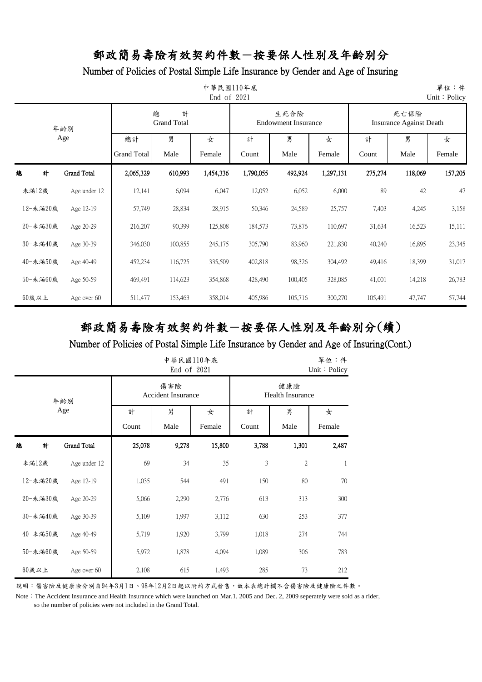### Number of Policies of Postal Simple Life Insurance by Gender and Age of Insuring

| 單位:件<br>中華民國110年底<br>End of 2021<br>Unit: Policy |                    |                    |                              |           |           |                                    |           |         |                                        |         |  |
|--------------------------------------------------|--------------------|--------------------|------------------------------|-----------|-----------|------------------------------------|-----------|---------|----------------------------------------|---------|--|
|                                                  | 年齢別                |                    | 總<br>計<br><b>Grand Total</b> |           |           | 生死合險<br><b>Endowment Insurance</b> |           |         | 死亡保險<br><b>Insurance Against Death</b> |         |  |
|                                                  | Age                | 總計                 | 男                            | 女         | 計         | 男                                  | 女         | 計       | 男                                      | 女       |  |
|                                                  |                    | <b>Grand Total</b> | Male                         | Female    | Count     | Male                               | Female    | Count   | Male                                   | Female  |  |
| 計<br>總                                           | <b>Grand Total</b> | 2,065,329          | 610,993                      | 1,454,336 | 1,790,055 | 492,924                            | 1,297,131 | 275,274 | 118,069                                | 157,205 |  |
| 未滿12歲                                            | Age under 12       | 12,141             | 6,094                        | 6,047     | 12,052    | 6,052                              | 6,000     | 89      | 42                                     | 47      |  |
| 12-未滿20歲                                         | Age 12-19          | 57,749             | 28,834                       | 28,915    | 50,346    | 24,589                             | 25,757    | 7,403   | 4,245                                  | 3,158   |  |
| 20-未満30歲                                         | Age 20-29          | 216,207            | 90,399                       | 125,808   | 184,573   | 73,876                             | 110,697   | 31,634  | 16,523                                 | 15,111  |  |
| 30-未滿40歲                                         | Age 30-39          | 346,030            | 100,855                      | 245,175   | 305,790   | 83,960                             | 221,830   | 40,240  | 16,895                                 | 23,345  |  |
| 40-未滿50歲                                         | Age 40-49          | 452,234            | 116,725                      | 335,509   | 402,818   | 98,326                             | 304,492   | 49,416  | 18,399                                 | 31,017  |  |
| 50-未滿60歲                                         | Age 50-59          | 469,491            | 114,623                      | 354,868   | 428,490   | 100,405                            | 328,085   | 41,001  | 14,218                                 | 26,783  |  |
| 60歲以上                                            | Age over 60        | 511,477            | 153,463                      | 358,014   | 405,986   | 105,716                            | 300,270   | 105,491 | 47,747                                 | 57,744  |  |

# 郵政簡易壽險有效契約件數-按要保人性別及年齡別分(續)

### Number of Policies of Postal Simple Life Insurance by Gender and Age of Insuring(Cont.)

|   |          |                    |        | 中華民國110年底<br>End of 2021         | 單位:件<br>Unit: Policy |                                |       |        |  |
|---|----------|--------------------|--------|----------------------------------|----------------------|--------------------------------|-------|--------|--|
|   |          | 年齢別                |        | 傷害險<br><b>Accident Insurance</b> |                      | 健康險<br><b>Health Insurance</b> |       |        |  |
|   |          | Age                | 計      | 男                                | 女                    | 計                              | 男     | 女      |  |
|   |          |                    | Count  | Male                             | Female               | Count                          | Male  | Female |  |
| 總 | 計        | <b>Grand Total</b> | 25,078 | 9,278                            | 15,800               | 3,788                          | 1,301 | 2,487  |  |
|   | 未滿12歲    | Age under 12       | 69     | 34                               | 35                   | 3                              | 2     | 1      |  |
|   | 12-未滿20歲 | Age 12-19          | 1,035  | 544                              | 491                  | 150                            | 80    | 70     |  |
|   | 20-未滿30歲 | Age 20-29          | 5,066  | 2,290                            | 2,776                | 613                            | 313   | 300    |  |
|   | 30-未滿40歲 | Age 30-39          | 5,109  | 1,997                            | 3,112                | 630                            | 253   | 377    |  |
|   | 40-未滿50歲 | Age 40-49          | 5,719  | 1,920                            | 3,799                | 1,018                          | 274   | 744    |  |
|   | 50-未滿60歲 | Age 50-59          | 5,972  | 1,878                            | 4,094                | 1,089                          | 306   | 783    |  |
|   | 60歲以上    | Age over 60        | 2,108  | 615                              | 1,493                | 285                            | 73    | 212    |  |

說明:傷害險及健康險分別自94年3月1日、98年12月2日起以附約方式發售,故本表總計欄不含傷害險及健康險之件數。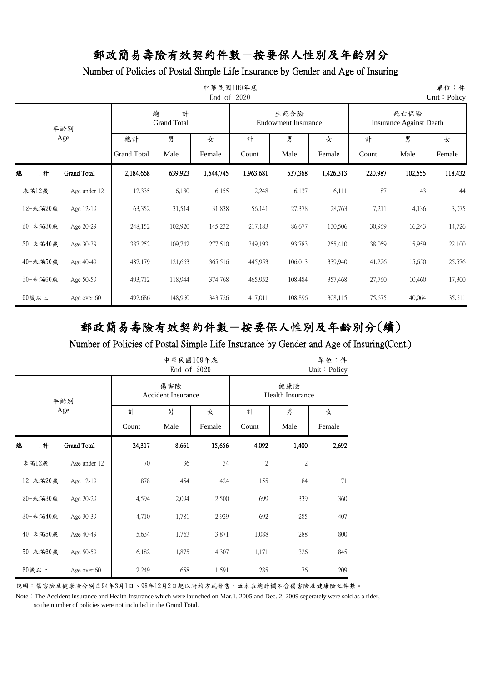### Number of Policies of Postal Simple Life Insurance by Gender and Age of Insuring

| 單位:件<br>中華民國109年底<br>End of 2020<br>Unit: Policy |                    |                    |                              |           |           |                                    |           |         |                                        |         |  |
|--------------------------------------------------|--------------------|--------------------|------------------------------|-----------|-----------|------------------------------------|-----------|---------|----------------------------------------|---------|--|
|                                                  | 年齢別                |                    | 總<br>計<br><b>Grand Total</b> |           |           | 生死合險<br><b>Endowment Insurance</b> |           |         | 死亡保險<br><b>Insurance Against Death</b> |         |  |
|                                                  | Age                | 總計                 | 男                            | 女         | 計         | 男                                  | 女         | 計       | 男                                      | 女       |  |
|                                                  |                    | <b>Grand Total</b> | Male                         | Female    | Count     | Male                               | Female    | Count   | Male                                   | Female  |  |
| 計<br>總                                           | <b>Grand Total</b> | 2,184,668          | 639,923                      | 1,544,745 | 1,963,681 | 537,368                            | 1,426,313 | 220,987 | 102,555                                | 118,432 |  |
| 未滿12歲                                            | Age under 12       | 12,335             | 6,180                        | 6,155     | 12,248    | 6,137                              | 6,111     | 87      | 43                                     | 44      |  |
| 12-未滿20歲                                         | Age 12-19          | 63,352             | 31,514                       | 31,838    | 56,141    | 27,378                             | 28,763    | 7,211   | 4,136                                  | 3,075   |  |
| 20-未満30歲                                         | Age 20-29          | 248,152            | 102,920                      | 145,232   | 217,183   | 86,677                             | 130,506   | 30,969  | 16,243                                 | 14,726  |  |
| 30-未滿40歲                                         | Age 30-39          | 387,252            | 109,742                      | 277,510   | 349,193   | 93,783                             | 255,410   | 38,059  | 15,959                                 | 22,100  |  |
| 40-未滿50歲                                         | Age 40-49          | 487,179            | 121,663                      | 365,516   | 445,953   | 106,013                            | 339,940   | 41,226  | 15,650                                 | 25,576  |  |
| 50-未滿60歲                                         | Age 50-59          | 493,712            | 118,944                      | 374,768   | 465,952   | 108,484                            | 357,468   | 27,760  | 10,460                                 | 17,300  |  |
| 60歲以上                                            | Age over 60        | 492,686            | 148,960                      | 343,726   | 417,011   | 108,896                            | 308,115   | 75,675  | 40,064                                 | 35,611  |  |

# 郵政簡易壽險有效契約件數-按要保人性別及年齡別分(續)

### Number of Policies of Postal Simple Life Insurance by Gender and Age of Insuring(Cont.)

|   |          |                    |        | 中華民國109年底<br>End of 2020         | 單位:件<br>Unit: Policy |                         |                |       |
|---|----------|--------------------|--------|----------------------------------|----------------------|-------------------------|----------------|-------|
|   |          | 年齡別                |        | 傷害險<br><b>Accident Insurance</b> | 健康險                  | <b>Health Insurance</b> |                |       |
|   |          | Age                | 計      | 男                                | 女                    | 計                       | 男              | 女     |
|   |          |                    | Count  | Male                             | Female               | Count                   | Female         |       |
| 總 | 計        | <b>Grand Total</b> | 24,317 | 8,661                            | 15,656               | 4,092                   | 1,400          | 2,692 |
|   | 未滿12歲    | Age under 12       | $70\,$ | 36                               | 34                   | $\mathbf{2}$            | $\overline{2}$ |       |
|   | 12-未滿20歲 | Age 12-19          | 878    | 454                              | 424                  | 155                     | 84             | 71    |
|   | 20-未滿30歲 | Age 20-29          | 4,594  | 2,094                            | 2,500                | 699                     | 339            | 360   |
|   | 30-未滿40歲 | Age 30-39          | 4,710  | 1,781                            | 2,929                | 692                     | 285            | 407   |
|   | 40-未滿50歲 | Age 40-49          | 5,634  | 1,763                            | 3,871                | 1,088                   | 288            | 800   |
|   | 50-未滿60歲 | Age 50-59          | 6,182  | 1,875                            | 4,307                | 1,171                   | 326            | 845   |
|   | $60$ 歲以上 | Age over 60        | 2,249  | 658                              | 1,591                | 285                     | 76             | 209   |

說明:傷害險及健康險分別自94年3月1日、98年12月2日起以附約方式發售,故本表總計欄不含傷害險及健康險之件數。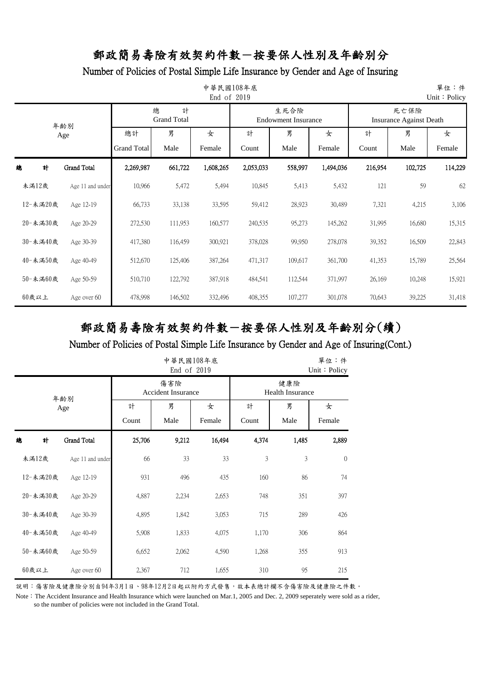#### Number of Policies of Postal Simple Life Insurance by Gender and Age of Insuring

| 單位:件<br>中華民國108年底<br>End of 2019<br>Unit: Policy |                  |                          |                              |             |            |                                    |             |            |                                        |             |  |  |
|--------------------------------------------------|------------------|--------------------------|------------------------------|-------------|------------|------------------------------------|-------------|------------|----------------------------------------|-------------|--|--|
|                                                  | 年齡別              |                          | 總<br>計<br><b>Grand Total</b> |             |            | 生死合險<br><b>Endowment Insurance</b> |             |            | 死亡保險<br><b>Insurance Against Death</b> |             |  |  |
| Age                                              |                  | 總計<br><b>Grand Total</b> | 男<br>Male                    | 女<br>Female | 計<br>Count | 男<br>Male                          | 女<br>Female | 計<br>Count | 男<br>Male                              | 女<br>Female |  |  |
| 緿<br>計                                           | Grand Total      | 2,269,987                | 661,722                      | 1,608,265   | 2,053,033  | 558,997                            | 1,494,036   | 216,954    | 102,725                                | 114,229     |  |  |
| 未満12歲                                            | Age 11 and under | 10,966                   | 5,472                        | 5,494       | 10,845     | 5,413                              | 5,432       | 121        | 59                                     | 62          |  |  |
| 12-未滿20歲                                         | Age 12-19        | 66,733                   | 33,138                       | 33,595      | 59,412     | 28,923                             | 30,489      | 7,321      | 4,215                                  | 3,106       |  |  |
| 20-未満30歲                                         | Age 20-29        | 272,530                  | 111,953                      | 160,577     | 240,535    | 95,273                             | 145,262     | 31,995     | 16,680                                 | 15,315      |  |  |
| 30-未滿40歲                                         | Age 30-39        | 417,380                  | 116,459                      | 300,921     | 378,028    | 99,950                             | 278,078     | 39,352     | 16,509                                 | 22,843      |  |  |
| 40-未満50歲                                         | Age 40-49        | 512,670                  | 125,406                      | 387,264     | 471,317    | 109,617                            | 361,700     | 41,353     | 15,789                                 | 25,564      |  |  |
| 50-未滿60歲                                         | Age 50-59        | 510,710                  | 122,792                      | 387,918     | 484,541    | 112,544                            | 371,997     | 26,169     | 10,248                                 | 15,921      |  |  |
| 60歲以上                                            | Age over 60      | 478,998                  | 146,502                      | 332,496     | 408,355    | 107,277                            | 301,078     | 70,643     | 39,225                                 | 31,418      |  |  |

# 郵政簡易壽險有效契約件數-按要保人性別及年齡別分(續)

#### Number of Policies of Postal Simple Life Insurance by Gender and Age of Insuring(Cont.)

|   |          |                  | 單位:件<br>Unit: Policy |                                  |        |       |                                |              |  |
|---|----------|------------------|----------------------|----------------------------------|--------|-------|--------------------------------|--------------|--|
|   |          | 年齡別              |                      | 傷害險<br><b>Accident Insurance</b> |        |       | 健康險<br><b>Health Insurance</b> |              |  |
|   |          | Age              | 計                    | 男                                | 女      | 計     | 男                              | 女            |  |
|   |          |                  | Count                | Male                             | Female | Count | Male                           | Female       |  |
| 總 | 計        | Grand Total      | 25,706               | 9,212                            | 16,494 | 4,374 | 1,485                          | 2,889        |  |
|   | 未滿12歲    | Age 11 and under | 66                   | 33                               | 33     | 3     | 3                              | $\mathbf{0}$ |  |
|   | 12-未滿20歲 | Age 12-19        | 931                  | 496                              | 435    | 160   | 86                             | 74           |  |
|   | 20-未滿30歲 | Age 20-29        | 4,887                | 2,234                            | 2,653  | 748   | 351                            | 397          |  |
|   | 30-未滿40歲 | Age 30-39        | 4,895                | 1,842                            | 3,053  | 715   | 289                            | 426          |  |
|   | 40-未滿50歲 | Age 40-49        | 5,908                | 1,833                            | 4,075  | 1,170 | 306                            | 864          |  |
|   | 50-未滿60歲 | Age 50-59        | 6,652                | 2,062                            | 4,590  | 1,268 | 355                            | 913          |  |
|   | 60歲以上    | Age over 60      | 2,367                | 712                              | 1,655  | 310   | 95                             | 215          |  |

說明:傷害險及健康險分別自94年3月1日、98年12月2日起以附約方式發售,故本表總計欄不含傷害險及健康險之件數。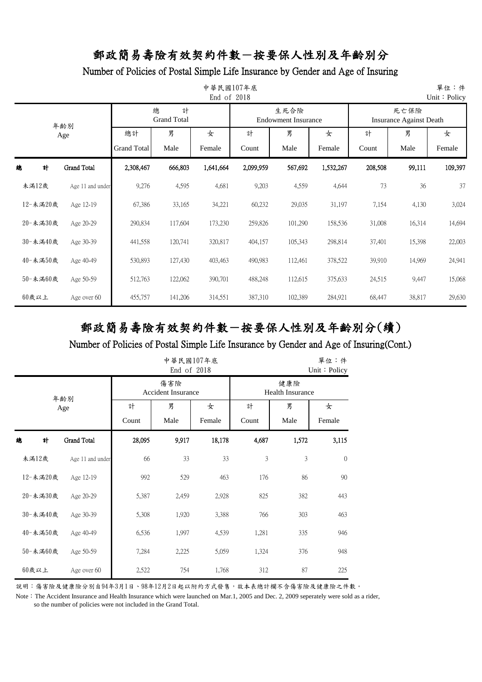### Number of Policies of Postal Simple Life Insurance by Gender and Age of Insuring

| 單位:件<br>中華民國107年底<br>End of 2018<br>Unit: Policy |          |                  |                          |                              |             |            |                                    |             |                                        |           |             |  |
|--------------------------------------------------|----------|------------------|--------------------------|------------------------------|-------------|------------|------------------------------------|-------------|----------------------------------------|-----------|-------------|--|
|                                                  |          | 年齡別              |                          | 總<br>計<br><b>Grand Total</b> |             |            | 生死合險<br><b>Endowment Insurance</b> |             | 死亡保險<br><b>Insurance Against Death</b> |           |             |  |
|                                                  | Age      |                  | 總計<br><b>Grand Total</b> | 男<br>Male                    | 女<br>Female | 計<br>Count | 男<br>Male                          | 女<br>Female | 計<br>Count                             | 男<br>Male | 女<br>Female |  |
| 緿                                                | 計        | Grand Total      | 2,308,467                | 666,803                      | 1,641,664   | 2,099,959  | 567,692                            | 1,532,267   | 208,508                                | 99,111    | 109,397     |  |
| 未満12歲                                            |          | Age 11 and under | 9,276                    | 4,595                        | 4,681       | 9,203      | 4,559                              | 4,644       | 73                                     | 36        | 37          |  |
|                                                  | 12-未滿20歲 | Age 12-19        | 67,386                   | 33,165                       | 34,221      | 60,232     | 29,035                             | 31,197      | 7,154                                  | 4,130     | 3,024       |  |
|                                                  | 20-未満30歲 | Age 20-29        | 290,834                  | 117,604                      | 173,230     | 259,826    | 101,290                            | 158,536     | 31,008                                 | 16,314    | 14,694      |  |
|                                                  | 30-未滿40歲 | Age 30-39        | 441,558                  | 120,741                      | 320,817     | 404,157    | 105,343                            | 298,814     | 37,401                                 | 15,398    | 22,003      |  |
|                                                  | 40-未満50歲 | Age 40-49        | 530,893                  | 127,430                      | 403,463     | 490,983    | 112,461                            | 378,522     | 39,910                                 | 14,969    | 24,941      |  |
|                                                  | 50-未滿60歲 | Age 50-59        | 512,763                  | 122,062                      | 390,701     | 488,248    | 112,615                            | 375,633     | 24,515                                 | 9,447     | 15,068      |  |
| 60歲以上                                            |          | Age over 60      | 455,757                  | 141,206                      | 314,551     | 387,310    | 102,389                            | 284,921     | 68,447                                 | 38,817    | 29,630      |  |

# 郵政簡易壽險有效契約件數-按要保人性別及年齡別分(續)

#### Number of Policies of Postal Simple Life Insurance by Gender and Age of Insuring(Cont.)

|   | 中華民國107年底<br>End of 2018 |                    |        |                                  |        |       |                                |          |  |  |  |
|---|--------------------------|--------------------|--------|----------------------------------|--------|-------|--------------------------------|----------|--|--|--|
|   |                          | 年齡別                |        | 傷害險<br><b>Accident Insurance</b> |        |       | 健康險<br><b>Health Insurance</b> |          |  |  |  |
|   |                          | Age                | 計      | 男                                | 女      | 計     | 男                              | 女        |  |  |  |
|   |                          |                    | Count  | Male                             | Female | Count | Male                           | Female   |  |  |  |
| 總 | 計                        | <b>Grand Total</b> | 28,095 | 9,917                            | 18,178 | 4,687 | 1,572                          | 3,115    |  |  |  |
|   | 未滿12歲                    | Age 11 and under   | 66     | 33                               | 33     | 3     | 3                              | $\theta$ |  |  |  |
|   | 12-未滿20歲                 | Age 12-19          | 992    | 529                              | 463    | 176   | 86                             | 90       |  |  |  |
|   | 20-未滿30歲                 | Age 20-29          | 5,387  | 2,459                            | 2,928  | 825   | 382                            | 443      |  |  |  |
|   | 30-未滿40歲                 | Age 30-39          | 5,308  | 1,920                            | 3,388  | 766   | 303                            | 463      |  |  |  |
|   | 40-未滿50歲                 | Age 40-49          | 6,536  | 1,997                            | 4,539  | 1,281 | 335                            | 946      |  |  |  |
|   | 50-未滿60歲                 | Age 50-59          | 7,284  | 2,225                            | 5,059  | 1,324 | 376                            | 948      |  |  |  |
|   | 60歲以上                    | Age over 60        | 2,522  | 754                              | 1,768  | 312   | 87                             | 225      |  |  |  |

說明:傷害險及健康險分別自94年3月1日、98年12月2日起以附約方式發售,故本表總計欄不含傷害險及健康險之件數。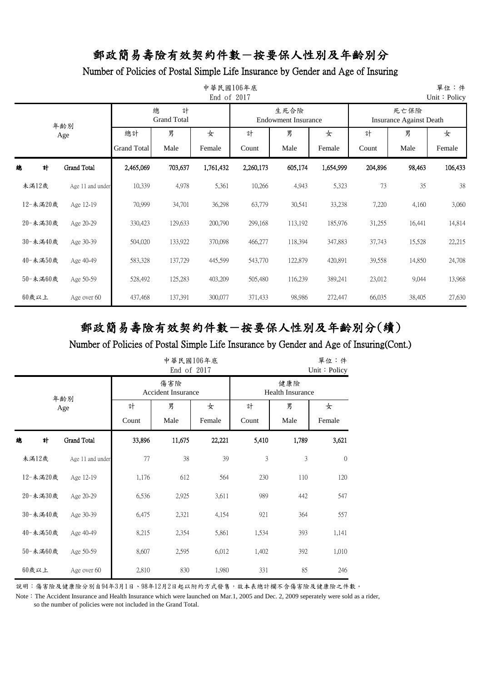### Number of Policies of Postal Simple Life Insurance by Gender and Age of Insuring

| 單位:件<br>中華民國106年底<br>End of 2017<br>Unit: Policy |          |                    |                          |                              |             |            |                                    |             |            |                                        |             |
|--------------------------------------------------|----------|--------------------|--------------------------|------------------------------|-------------|------------|------------------------------------|-------------|------------|----------------------------------------|-------------|
|                                                  |          | 年齡別                |                          | 總<br>計<br><b>Grand Total</b> |             |            | 生死合險<br><b>Endowment Insurance</b> |             |            | 死亡保險<br><b>Insurance Against Death</b> |             |
|                                                  | Age      |                    | 總計<br><b>Grand Total</b> | 男<br>Male                    | 女<br>Female | 計<br>Count | 男<br>Male                          | 女<br>Female | 計<br>Count | 男<br>Male                              | 女<br>Female |
| 緿                                                | 計        | <b>Grand Total</b> | 2,465,069                | 703,637                      | 1,761,432   | 2,260,173  | 605,174                            | 1,654,999   | 204,896    | 98,463                                 | 106,433     |
|                                                  | 未満12歲    | Age 11 and under   | 10,339                   | 4,978                        | 5,361       | 10,266     | 4,943                              | 5,323       | 73         | 35                                     | 38          |
|                                                  | 12-未滿20歲 | Age 12-19          | 70,999                   | 34,701                       | 36,298      | 63,779     | 30,541                             | 33,238      | 7,220      | 4,160                                  | 3,060       |
|                                                  | 20-未滿30歲 | Age 20-29          | 330,423                  | 129,633                      | 200,790     | 299,168    | 113,192                            | 185,976     | 31,255     | 16,441                                 | 14,814      |
|                                                  | 30-未滿40歲 | Age 30-39          | 504,020                  | 133,922                      | 370,098     | 466,277    | 118,394                            | 347,883     | 37,743     | 15,528                                 | 22,215      |
|                                                  | 40-未滿50歲 | Age 40-49          | 583,328                  | 137,729                      | 445,599     | 543,770    | 122,879                            | 420,891     | 39,558     | 14,850                                 | 24,708      |
|                                                  | 50-未滿60歲 | Age 50-59          | 528,492                  | 125,283                      | 403,209     | 505,480    | 116,239                            | 389,241     | 23,012     | 9,044                                  | 13,968      |
|                                                  | $60$ 歲以上 | Age over 60        | 437,468                  | 137,391                      | 300,077     | 371,433    | 98,986                             | 272,447     | 66,035     | 38,405                                 | 27,630      |

# 郵政簡易壽險有效契約件數-按要保人性別及年齡別分(續)

#### Number of Policies of Postal Simple Life Insurance by Gender and Age of Insuring(Cont.)

|   |          |                  |        |                                  | 單位:件<br>Unit: Policy |        |                                |              |  |
|---|----------|------------------|--------|----------------------------------|----------------------|--------|--------------------------------|--------------|--|
|   |          | 年齡別              |        | 傷害險<br><b>Accident Insurance</b> |                      |        | 健康險<br><b>Health Insurance</b> |              |  |
|   |          | Age              | 計      | 男                                | 女                    | 計      | 男                              | 女            |  |
|   |          |                  | Count  | Count                            | Male                 | Female |                                |              |  |
| 總 | 計        | Grand Total      | 33,896 | 11,675                           | 22,221               | 5,410  | 1,789                          | 3,621        |  |
|   | 未滿12歲    | Age 11 and under | 77     | 38                               | 39                   | 3      | 3                              | $\mathbf{0}$ |  |
|   | 12-未滿20歲 | Age 12-19        | 1,176  | 612                              | 564                  | 230    | 110                            | 120          |  |
|   | 20-未滿30歲 | Age 20-29        | 6,536  | 2,925                            | 3,611                | 989    | 442                            | 547          |  |
|   | 30-未滿40歲 | Age 30-39        | 6,475  | 2,321                            | 4,154                | 921    | 364                            | 557          |  |
|   | 40-未滿50歲 | Age 40-49        | 8,215  | 2,354                            | 5,861                | 1,534  | 393                            | 1,141        |  |
|   | 50-未滿60歲 | Age 50-59        | 8,607  | 2,595                            | 6,012                | 1,402  | 392                            | 1,010        |  |
|   | 60歲以上    | Age over 60      | 2,810  | 830                              | 1,980                | 331    | 85                             | 246          |  |

說明:傷害險及健康險分別自94年3月1日、98年12月2日起以附約方式發售,故本表總計欄不含傷害險及健康險之件數。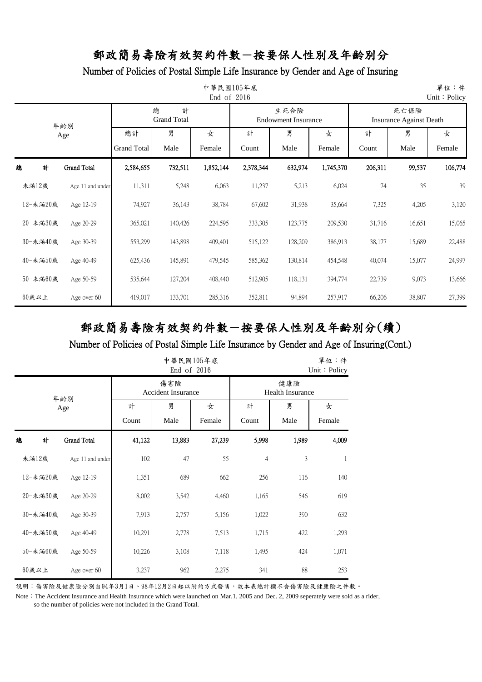### Number of Policies of Postal Simple Life Insurance by Gender and Age of Insuring

| 單位:件<br>中華民國105年底<br>End of 2016<br>Unit: Policy |          |                  |                          |                              |             |            |                                    |             |            |                                        |             |
|--------------------------------------------------|----------|------------------|--------------------------|------------------------------|-------------|------------|------------------------------------|-------------|------------|----------------------------------------|-------------|
|                                                  | 年齡別      |                  |                          | 總<br>計<br><b>Grand Total</b> |             |            | 生死合險<br><b>Endowment Insurance</b> |             |            | 死亡保險<br><b>Insurance Against Death</b> |             |
|                                                  | Age<br>計 |                  | 總計<br><b>Grand Total</b> | 男<br>Male                    | 女<br>Female | 計<br>Count | 男<br>Male                          | 女<br>Female | 計<br>Count | 男<br>Male                              | 女<br>Female |
| 緿                                                |          | Grand Total      | 2,584,655                | 732,511                      | 1,852,144   | 2,378,344  | 632,974                            | 1,745,370   | 206,311    | 99,537                                 | 106,774     |
| 未満12歲                                            |          | Age 11 and under | 11,311                   | 5,248                        | 6,063       | 11,237     | 5,213                              | 6,024       | 74         | 35                                     | 39          |
| 12-未滿20歲                                         |          | Age 12-19        | 74,927                   | 36,143                       | 38,784      | 67,602     | 31,938                             | 35,664      | 7,325      | 4,205                                  | 3,120       |
| 20-未満30歲                                         |          | Age 20-29        | 365,021                  | 140,426                      | 224,595     | 333,305    | 123,775                            | 209,530     | 31,716     | 16,651                                 | 15,065      |
| 30-未滿40歲                                         |          | Age 30-39        | 553,299                  | 143,898                      | 409,401     | 515,122    | 128,209                            | 386,913     | 38,177     | 15,689                                 | 22,488      |
| 40-未満50歲                                         |          | Age 40-49        | 625,436                  | 145,891                      | 479,545     | 585,362    | 130,814                            | 454,548     | 40,074     | 15,077                                 | 24,997      |
| 50-未滿60歲                                         |          | Age 50-59        | 535,644                  | 127,204                      | 408,440     | 512,905    | 118,131                            | 394,774     | 22,739     | 9,073                                  | 13,666      |
| 60歲以上                                            |          | Age over 60      | 419,017                  | 133,701                      | 285,316     | 352,811    | 94,894                             | 257,917     | 66,206     | 38,807                                 | 27,399      |

# 郵政簡易壽險有效契約件數-按要保人性別及年齡別分(續)

#### Number of Policies of Postal Simple Life Insurance by Gender and Age of Insuring(Cont.)

|   | 中華民國105年底<br>End of 2016 |                    |        |                                  |        |                |                                |        |  |  |  |
|---|--------------------------|--------------------|--------|----------------------------------|--------|----------------|--------------------------------|--------|--|--|--|
|   |                          | 年齡別                |        | 傷害險<br><b>Accident Insurance</b> |        |                | 健康險<br><b>Health Insurance</b> |        |  |  |  |
|   |                          | Age                | 計      | 男                                | 女      | 計              | 男                              | 女      |  |  |  |
|   |                          |                    | Count  | Male                             | Female | Count          | Male                           | Female |  |  |  |
| 總 | 計                        | <b>Grand Total</b> | 41,122 | 13,883                           | 27,239 | 5,998          | 1,989                          | 4,009  |  |  |  |
|   | 未滿12歲                    | Age 11 and under   | 102    | 47                               | 55     | $\overline{4}$ | 3                              | 1      |  |  |  |
|   | 12-未滿20歲                 | Age 12-19          | 1,351  | 689                              | 662    | 256            | 116                            | 140    |  |  |  |
|   | 20-未滿30歲                 | Age 20-29          | 8,002  | 3,542                            | 4,460  | 1,165          | 546                            | 619    |  |  |  |
|   | 30-未滿40歲                 | Age 30-39          | 7,913  | 2,757                            | 5,156  | 1,022          | 390                            | 632    |  |  |  |
|   | 40-未滿50歲                 | Age 40-49          | 10,291 | 2,778                            | 7,513  | 1,715          | 422                            | 1,293  |  |  |  |
|   | 50-未滿60歲                 | Age 50-59          | 10,226 | 3,108                            | 7,118  | 1,495          | 424                            | 1,071  |  |  |  |
|   | 60歲以上                    | Age over 60        | 3,237  | 962                              | 2,275  | 341            | 88                             | 253    |  |  |  |

說明:傷害險及健康險分別自94年3月1日、98年12月2日起以附約方式發售,故本表總計欄不含傷害險及健康險之件數。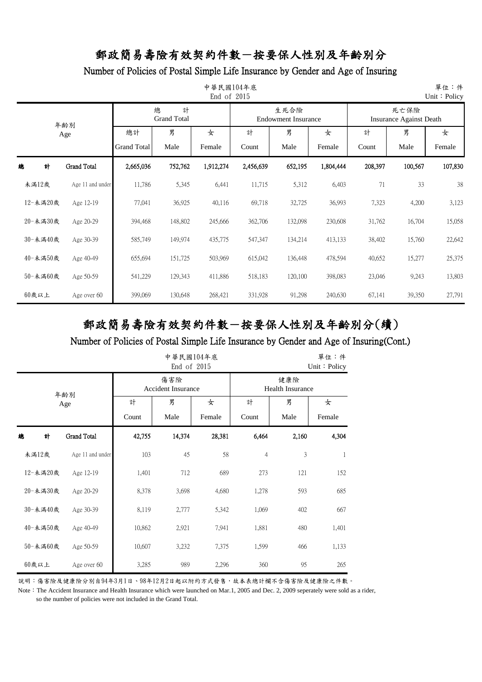Number of Policies of Postal Simple Life Insurance by Gender and Age of Insuring

| 中華民國104年底<br>單位:件<br>End of 2015<br>Unit: Policy |                    |                    |                              |           |           |                                    |           |         |                                        |         |  |  |
|--------------------------------------------------|--------------------|--------------------|------------------------------|-----------|-----------|------------------------------------|-----------|---------|----------------------------------------|---------|--|--|
|                                                  | 年齢別                |                    | 總<br>計<br><b>Grand Total</b> |           |           | 生死合險<br><b>Endowment Insurance</b> |           |         | 死亡保險<br><b>Insurance Against Death</b> |         |  |  |
|                                                  | Age                | 總計                 | 男                            | 女         | 計         | 男                                  | 女         | 計       | 男                                      | 女       |  |  |
|                                                  |                    | <b>Grand Total</b> | Male                         | Female    | Count     | Male                               | Female    | Count   | Male                                   | Female  |  |  |
| 計<br>總                                           | <b>Grand Total</b> | 2,665,036          | 752,762                      | 1,912,274 | 2,456,639 | 652,195                            | 1,804,444 | 208,397 | 100,567                                | 107,830 |  |  |
| 未満12歲                                            | Age 11 and under   | 11,786             | 5,345                        | 6,441     | 11,715    | 5,312                              | 6,403     | 71      | 33                                     | 38      |  |  |
| 12-未満20歲                                         | Age 12-19          | 77,041             | 36,925                       | 40,116    | 69,718    | 32,725                             | 36,993    | 7,323   | 4,200                                  | 3,123   |  |  |
| 20-未満30歲                                         | Age 20-29          | 394,468            | 148,802                      | 245,666   | 362,706   | 132,098                            | 230,608   | 31,762  | 16,704                                 | 15,058  |  |  |
| 30-未滿40歲                                         | Age 30-39          | 585,749            | 149,974                      | 435,775   | 547,347   | 134,214                            | 413,133   | 38,402  | 15,760                                 | 22,642  |  |  |
| 40-未満50歲                                         | Age 40-49          | 655,694            | 151,725                      | 503,969   | 615,042   | 136,448                            | 478,594   | 40,652  | 15,277                                 | 25,375  |  |  |
| 50-未満60歲                                         | Age 50-59          | 541,229            | 129,343                      | 411,886   | 518,183   | 120,100                            | 398,083   | 23,046  | 9,243                                  | 13,803  |  |  |
| 60歲以上                                            | Age over 60        | 399,069            | 130,648                      | 268,421   | 331,928   | 91,298                             | 240,630   | 67,141  | 39,350                                 | 27,791  |  |  |

# 郵政簡易壽險有效契約件數-按要保人性別及年齡別分(續)

#### Number of Policies of Postal Simple Life Insurance by Gender and Age of Insuring(Cont.)

| 中華民國104年底<br>End of 2015<br>Unit: Policy |          |                    |                           |                                |             |                |           |             |  |  |
|------------------------------------------|----------|--------------------|---------------------------|--------------------------------|-------------|----------------|-----------|-------------|--|--|
|                                          |          | 年齢別                | <b>Accident Insurance</b> | 健康險<br><b>Health Insurance</b> |             |                |           |             |  |  |
|                                          |          | Age                | 計<br>Count                | 男<br>Male                      | 女<br>Female | 計<br>Count     | 男<br>Male | 女<br>Female |  |  |
| 總                                        | 計        | <b>Grand Total</b> | 42,755                    | 14,374                         | 28,381      | 6,464          | 2,160     | 4,304       |  |  |
|                                          | 未満12歲    | Age 11 and under   | 103                       | 45                             | 58          | $\overline{4}$ | 3         | 1           |  |  |
|                                          | 12-未満20歲 | Age 12-19          | 1,401                     | 712                            | 689         | 273            | 121       | 152         |  |  |
|                                          | 20-未満30歲 | Age 20-29          | 8,378                     | 3,698                          | 4,680       | 1,278          | 593       | 685         |  |  |
|                                          | 30-未滿40歲 | Age 30-39          | 8,119                     | 2,777                          | 5,342       | 1,069          | 402       | 667         |  |  |
|                                          | 40-未滿50歲 | Age 40-49          | 10,862                    | 2,921                          | 7,941       | 1,881          | 480       | 1,401       |  |  |
|                                          | 50-未満60歲 | Age 50-59          | 10,607                    | 3,232                          | 7,375       | 1,599          | 466       | 1,133       |  |  |
|                                          | 60歲以上    | Age over 60        | 3,285                     | 989                            | 2,296       | 360            | 95        | 265         |  |  |

說明:傷害險及健康險分別自94年3月1日、98年12月2日起以附約方式發售,故本表總計欄不含傷害險及健康險之件數。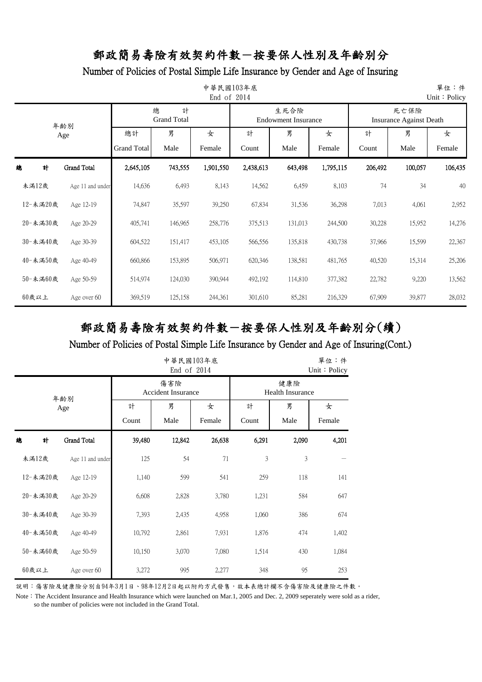#### Number of Policies of Postal Simple Life Insurance by Gender and Age of Insuring

| 單位:件<br>中華民國103年底<br>End of 2014<br>Unit: Policy |                  |                          |                              |             |            |                                    |             |                                        |           |             |  |  |
|--------------------------------------------------|------------------|--------------------------|------------------------------|-------------|------------|------------------------------------|-------------|----------------------------------------|-----------|-------------|--|--|
|                                                  | 年齡別              |                          | 總<br>計<br><b>Grand Total</b> |             |            | 生死合險<br><b>Endowment Insurance</b> |             | 死亡保險<br><b>Insurance Against Death</b> |           |             |  |  |
|                                                  | Age              | 總計<br><b>Grand Total</b> | 男<br>Male                    | 女<br>Female | 計<br>Count | 男<br>Male                          | 女<br>Female | 計<br>Count                             | 男<br>Male | 女<br>Female |  |  |
| 緿<br>計                                           | Grand Total      | 2,645,105                | 743,555                      | 1,901,550   | 2,438,613  | 643,498                            | 1,795,115   | 206,492                                | 100,057   | 106,435     |  |  |
| 未満12歲                                            | Age 11 and under | 14,636                   | 6,493                        | 8,143       | 14,562     | 6,459                              | 8,103       | 74                                     | 34        | 40          |  |  |
| 12-未滿20歲                                         | Age 12-19        | 74,847                   | 35,597                       | 39,250      | 67,834     | 31,536                             | 36,298      | 7,013                                  | 4,061     | 2,952       |  |  |
| 20-未満30歲                                         | Age 20-29        | 405,741                  | 146,965                      | 258,776     | 375,513    | 131,013                            | 244,500     | 30,228                                 | 15,952    | 14,276      |  |  |
| 30-未滿40歲                                         | Age 30-39        | 604,522                  | 151,417                      | 453,105     | 566,556    | 135,818                            | 430,738     | 37,966                                 | 15,599    | 22,367      |  |  |
| 40-未満50歲                                         | Age 40-49        | 660,866                  | 153,895                      | 506,971     | 620,346    | 138,581                            | 481,765     | 40,520                                 | 15,314    | 25,206      |  |  |
| 50-未滿60歲                                         | Age 50-59        | 514,974                  | 124,030                      | 390,944     | 492,192    | 114,810                            | 377,382     | 22,782                                 | 9,220     | 13,562      |  |  |
| 60歲以上                                            | Age over 60      | 369,519                  | 125,158                      | 244,361     | 301,610    | 85,281                             | 216,329     | 67,909                                 | 39,877    | 28,032      |  |  |

# 郵政簡易壽險有效契約件數-按要保人性別及年齡別分(續)

#### Number of Policies of Postal Simple Life Insurance by Gender and Age of Insuring(Cont.)

|   | 中華民國103年底<br>單位:件<br>End of 2014<br>Unit: Policy |                  |        |                                                                    |        |        |       |       |  |  |  |  |
|---|--------------------------------------------------|------------------|--------|--------------------------------------------------------------------|--------|--------|-------|-------|--|--|--|--|
|   |                                                  | 年齢別              |        | 傷害險<br>健康險<br><b>Accident Insurance</b><br><b>Health Insurance</b> |        |        |       |       |  |  |  |  |
|   |                                                  | Age              | 計      | 男                                                                  | 女      | 計      | 男     | 女     |  |  |  |  |
|   |                                                  |                  | Count  | Male                                                               | Male   | Female |       |       |  |  |  |  |
| 總 | 計                                                | Grand Total      | 39,480 | 12,842                                                             | 26,638 | 6,291  | 2,090 | 4,201 |  |  |  |  |
|   | 未滿12歲                                            | Age 11 and under | 125    | 54                                                                 | 71     | 3      | 3     |       |  |  |  |  |
|   | 12-未滿20歲                                         | Age 12-19        | 1,140  | 599                                                                | 541    | 259    | 118   | 141   |  |  |  |  |
|   | 20-未滿30歲                                         | Age 20-29        | 6,608  | 2,828                                                              | 3,780  | 1,231  | 584   | 647   |  |  |  |  |
|   | 30-未満40歲                                         | Age 30-39        | 7,393  | 2,435                                                              | 4,958  | 1,060  | 386   | 674   |  |  |  |  |
|   | 40-未滿50歲                                         | Age 40-49        | 10,792 | 2,861                                                              | 7,931  | 1,876  | 474   | 1,402 |  |  |  |  |
|   | 50-未滿60歲                                         | Age 50-59        | 10,150 | 3,070                                                              | 7,080  | 1,514  | 430   | 1,084 |  |  |  |  |
|   | $60$ 歲以上                                         | Age over 60      | 3,272  | 995                                                                | 2,277  | 348    | 95    | 253   |  |  |  |  |

說明:傷害險及健康險分別自94年3月1日、98年12月2日起以附約方式發售,故本表總計欄不含傷害險及健康險之件數。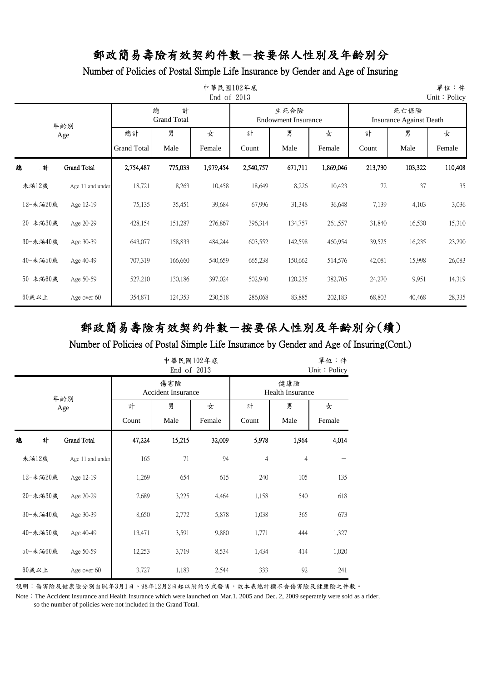### Number of Policies of Postal Simple Life Insurance by Gender and Age of Insuring

| 單位:件<br>中華民國102年底<br>End of 2013<br>Unit: Policy |   |                    |                          |                              |             |            |                             |             |                                        |           |             |  |
|--------------------------------------------------|---|--------------------|--------------------------|------------------------------|-------------|------------|-----------------------------|-------------|----------------------------------------|-----------|-------------|--|
|                                                  |   | 年齡別                |                          | 總<br>計<br><b>Grand Total</b> |             |            | 生死合險<br>Endowment Insurance |             | 死亡保險<br><b>Insurance Against Death</b> |           |             |  |
|                                                  |   | Age                | 總計<br><b>Grand Total</b> | 男<br>Male                    | 女<br>Female | 計<br>Count | 男<br>Male                   | 女<br>Female | 計<br>Count                             | 男<br>Male | 女<br>Female |  |
| 總                                                | 計 | <b>Grand Total</b> | 2,754,487                | 775,033                      | 1,979,454   | 2,540,757  | 671,711                     | 1,869,046   | 213,730                                | 103,322   | 110,408     |  |
| 未滿12歲                                            |   | Age 11 and under   | 18,721                   | 8,263                        | 10,458      | 18,649     | 8,226                       | 10,423      | 72                                     | 37        | 35          |  |
| 12-未滿20歲                                         |   | Age 12-19          | 75,135                   | 35,451                       | 39,684      | 67,996     | 31,348                      | 36,648      | 7,139                                  | 4,103     | 3,036       |  |
| 20-未滿30歲                                         |   | Age 20-29          | 428,154                  | 151,287                      | 276,867     | 396,314    | 134,757                     | 261,557     | 31,840                                 | 16,530    | 15,310      |  |
| 30-未滿40歲                                         |   | Age 30-39          | 643,077                  | 158,833                      | 484,244     | 603,552    | 142,598                     | 460,954     | 39,525                                 | 16,235    | 23,290      |  |
| 40-未滿50歲                                         |   | Age 40-49          | 707,319                  | 166,660                      | 540,659     | 665,238    | 150,662                     | 514,576     | 42,081                                 | 15,998    | 26,083      |  |
| 50-未滿60歲                                         |   | Age 50-59          | 527,210                  | 130,186                      | 397,024     | 502,940    | 120,235                     | 382,705     | 24,270                                 | 9,951     | 14,319      |  |
| $60$ 歲以上                                         |   | Age over 60        | 354,871                  | 124,353                      | 230,518     | 286,068    | 83,885                      | 202,183     | 68,803                                 | 40,468    | 28,335      |  |

# 郵政簡易壽險有效契約件數-按要保人性別及年齡別分(續)

#### Number of Policies of Postal Simple Life Insurance by Gender and Age of Insuring(Cont.)

|          | 中華民國102年底<br>單位:件<br>End of 2013<br>Unit: Policy |                  |        |                                                                    |        |                |                |       |  |  |  |  |
|----------|--------------------------------------------------|------------------|--------|--------------------------------------------------------------------|--------|----------------|----------------|-------|--|--|--|--|
|          | 年齡別                                              |                  |        | 傷害險<br>健康險<br><b>Accident Insurance</b><br><b>Health Insurance</b> |        |                |                |       |  |  |  |  |
|          | Age                                              |                  | 計      | 男                                                                  | 女      | 計              | 男              | 女     |  |  |  |  |
|          |                                                  |                  | Count  | Male                                                               | Female |                |                |       |  |  |  |  |
| 計<br>總   |                                                  | Grand Total      | 47,224 | 15,215                                                             | 32,009 | 5,978          | 1,964          | 4,014 |  |  |  |  |
| 未滿12歲    |                                                  | Age 11 and under | 165    | 71                                                                 | 94     | $\overline{4}$ | $\overline{4}$ |       |  |  |  |  |
| 12-未滿20歲 |                                                  | Age 12-19        | 1,269  | 654                                                                | 615    | 240            | 105            | 135   |  |  |  |  |
| 20-未滿30歲 |                                                  | Age 20-29        | 7,689  | 3,225                                                              | 4,464  | 1,158          | 540            | 618   |  |  |  |  |
| 30-未満40歲 |                                                  | Age 30-39        | 8,650  | 2,772                                                              | 5,878  | 1,038          | 365            | 673   |  |  |  |  |
| 40-未滿50歲 |                                                  | Age 40-49        | 13,471 | 3,591                                                              | 9,880  | 1,771          | 444            | 1,327 |  |  |  |  |
| 50-未滿60歲 |                                                  | Age 50-59        | 12,253 | 3,719                                                              | 8,534  | 1,434          | 414            | 1,020 |  |  |  |  |
| $60$ 歲以上 |                                                  | Age over 60      | 3,727  | 1,183                                                              | 2,544  | 333            | 92             | 241   |  |  |  |  |

說明:傷害險及健康險分別自94年3月1日、98年12月2日起以附約方式發售,故本表總計欄不含傷害險及健康險之件數。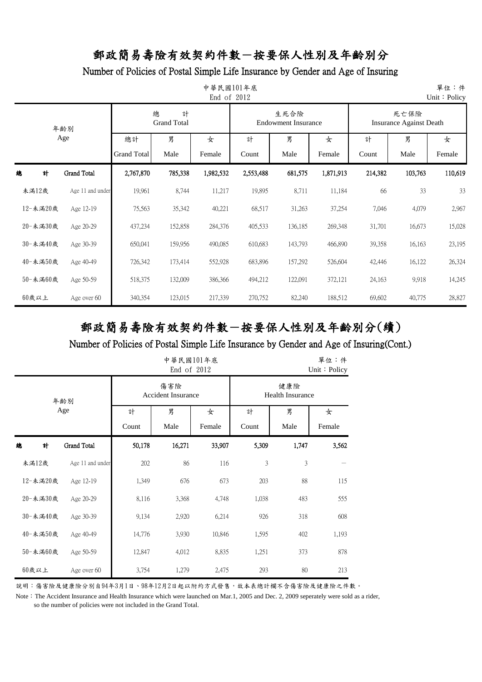### Number of Policies of Postal Simple Life Insurance by Gender and Age of Insuring

|          | 單位:件<br>中華民國101年底<br>End of 2012<br>Unit: Policy |                    |                              |           |           |                                    |           |         |                                        |         |  |  |  |
|----------|--------------------------------------------------|--------------------|------------------------------|-----------|-----------|------------------------------------|-----------|---------|----------------------------------------|---------|--|--|--|
|          | 年齢別                                              |                    | 總<br>計<br><b>Grand Total</b> |           |           | 生死合險<br><b>Endowment Insurance</b> |           |         | 死亡保險<br><b>Insurance Against Death</b> |         |  |  |  |
|          | Age                                              | 總計                 | 男                            | 女         | 計         | 男                                  | 女         | 計       | 男                                      | 女       |  |  |  |
|          |                                                  | <b>Grand Total</b> | Male                         | Female    | Count     | Male                               | Female    | Count   | Male                                   | Female  |  |  |  |
| 總<br>計   | <b>Grand Total</b>                               | 2,767,870          | 785,338                      | 1,982,532 | 2,553,488 | 681,575                            | 1,871,913 | 214,382 | 103,763                                | 110,619 |  |  |  |
| 未滿12歲    | Age 11 and under                                 | 19,961             | 8,744                        | 11,217    | 19,895    | 8,711                              | 11,184    | 66      | 33                                     | 33      |  |  |  |
| 12-未滿20歲 | Age 12-19                                        | 75,563             | 35,342                       | 40,221    | 68,517    | 31,263                             | 37,254    | 7,046   | 4,079                                  | 2,967   |  |  |  |
| 20-未滿30歲 | Age 20-29                                        | 437,234            | 152,858                      | 284,376   | 405,533   | 136,185                            | 269,348   | 31,701  | 16,673                                 | 15,028  |  |  |  |
| 30-未滿40歲 | Age 30-39                                        | 650,041            | 159,956                      | 490,085   | 610,683   | 143,793                            | 466,890   | 39,358  | 16,163                                 | 23,195  |  |  |  |
| 40-未滿50歲 | Age 40-49                                        | 726,342            | 173,414                      | 552,928   | 683,896   | 157,292                            | 526,604   | 42,446  | 16,122                                 | 26,324  |  |  |  |
| 50-未滿60歲 | Age 50-59                                        | 518,375            | 132,009                      | 386,366   | 494,212   | 122,091                            | 372,121   | 24,163  | 9,918                                  | 14,245  |  |  |  |
| 60歲以上    | Age over 60                                      | 340,354            | 123,015                      | 217,339   | 270,752   | 82,240                             | 188,512   | 69,602  | 40,775                                 | 28,827  |  |  |  |

# 郵政簡易壽險有效契約件數-按要保人性別及年齡別分(續)

### Number of Policies of Postal Simple Life Insurance by Gender and Age of Insuring(Cont.)

|   |          |                  |        | 中華民國101年底<br>End of 2012         | 單位:件<br>Unit: Policy |                                |       |        |  |
|---|----------|------------------|--------|----------------------------------|----------------------|--------------------------------|-------|--------|--|
|   |          | 年齢別              |        | 傷害險<br><b>Accident Insurance</b> |                      | 健康險<br><b>Health Insurance</b> |       |        |  |
|   |          | Age              | 計      | 男                                | 女                    | 計                              | 男     | 女      |  |
|   |          |                  | Count  | Male                             | Female               | Count                          | Male  | Female |  |
| 總 | 計        | Grand Total      | 50,178 | 16,271                           | 33,907               | 5,309                          | 1,747 | 3,562  |  |
|   | 未滿12歲    | Age 11 and under | 202    | 86                               | 116                  | 3                              | 3     |        |  |
|   | 12-未滿20歲 | Age 12-19        | 1,349  | 676                              | 673                  | 203                            | 88    | 115    |  |
|   | 20-未滿30歲 | Age 20-29        | 8,116  | 3,368                            | 4,748                | 1,038                          | 483   | 555    |  |
|   | 30-未滿40歲 | Age 30-39        | 9,134  | 2,920                            | 6,214                | 926                            | 318   | 608    |  |
|   | 40-未滿50歲 | Age 40-49        | 14,776 | 3,930                            | 10,846               | 1,595                          | 402   | 1,193  |  |
|   | 50-未滿60歲 | Age 50-59        | 12,847 | 4,012                            | 8,835                | 1,251                          | 373   | 878    |  |
|   | 60歲以上    | Age over 60      | 3,754  | 1,279                            | 2,475                | 293                            | 80    | 213    |  |

說明:傷害險及健康險分別自94年3月1日、98年12月2日起以附約方式發售,故本表總計欄不含傷害險及健康險之件數。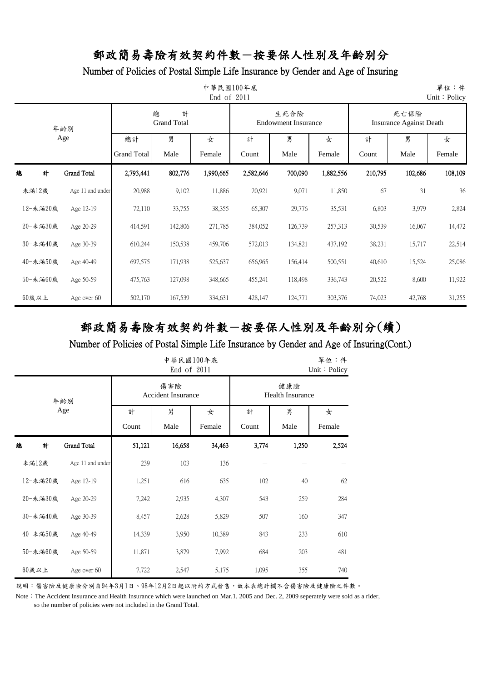### Number of Policies of Postal Simple Life Insurance by Gender and Age of Insuring

| 中華民國100年底<br>單位:件<br>End of 2011<br>Unit: Policy |                    |                    |                              |           |           |                                    |           |                                        |         |         |  |  |
|--------------------------------------------------|--------------------|--------------------|------------------------------|-----------|-----------|------------------------------------|-----------|----------------------------------------|---------|---------|--|--|
|                                                  | 年齢別                |                    | 總<br>計<br><b>Grand Total</b> |           |           | 生死合險<br><b>Endowment Insurance</b> |           | 死亡保險<br><b>Insurance Against Death</b> |         |         |  |  |
|                                                  | Age                | 總計                 | 男                            | 女         | 計         | 男                                  | 女         | 計                                      | 男       | 女       |  |  |
|                                                  |                    | <b>Grand Total</b> | Male                         | Female    | Count     | Male                               | Female    | Count                                  | Male    | Female  |  |  |
| 計<br>總                                           | <b>Grand Total</b> | 2,793,441          | 802,776                      | 1,990,665 | 2,582,646 | 700,090                            | 1,882,556 | 210,795                                | 102,686 | 108,109 |  |  |
| 未滿12歲                                            | Age 11 and under   | 20,988             | 9,102                        | 11,886    | 20,921    | 9,071                              | 11,850    | 67                                     | 31      | 36      |  |  |
| 12-未滿20歲                                         | Age 12-19          | 72,110             | 33,755                       | 38,355    | 65,307    | 29,776                             | 35,531    | 6,803                                  | 3,979   | 2,824   |  |  |
| 20-未滿30歲                                         | Age 20-29          | 414,591            | 142,806                      | 271,785   | 384,052   | 126,739                            | 257,313   | 30,539                                 | 16,067  | 14,472  |  |  |
| 30-未滿40歲                                         | Age 30-39          | 610,244            | 150,538                      | 459,706   | 572,013   | 134,821                            | 437,192   | 38,231                                 | 15,717  | 22,514  |  |  |
| 40-未滿50歲                                         | Age 40-49          | 697,575            | 171,938                      | 525,637   | 656,965   | 156,414                            | 500,551   | 40,610                                 | 15,524  | 25,086  |  |  |
| 50-未滿60歲                                         | Age 50-59          | 475,763            | 127,098                      | 348,665   | 455,241   | 118,498                            | 336,743   | 20,522                                 | 8,600   | 11,922  |  |  |
| $60$ 歲以上                                         | Age over 60        | 502,170            | 167,539                      | 334,631   | 428,147   | 124,771                            | 303,376   | 74,023                                 | 42,768  | 31,255  |  |  |

# 郵政簡易壽險有效契約件數-按要保人性別及年齡別分(續)

### Number of Policies of Postal Simple Life Insurance by Gender and Age of Insuring(Cont.)

|   |          |                  |        | 中華民國100年底<br>End of 2011         | 單位:件<br>Unit: Policy |       |                                |        |  |  |
|---|----------|------------------|--------|----------------------------------|----------------------|-------|--------------------------------|--------|--|--|
|   |          | 年齢別              |        | 傷害險<br><b>Accident Insurance</b> |                      |       | 健康險<br><b>Health Insurance</b> |        |  |  |
|   |          | Age              | 計      | 男                                | 女                    | 計     | 男                              | 女      |  |  |
|   |          |                  | Count  | Male                             | Female               | Count | Male                           | Female |  |  |
| 總 | 計        | Grand Total      | 51,121 | 16,658                           | 34,463               | 3,774 | 1,250                          | 2,524  |  |  |
|   | 未滿12歲    | Age 11 and under | 239    | 103                              | 136                  |       |                                |        |  |  |
|   | 12-未滿20歲 | Age 12-19        | 1,251  | 616                              | 635                  | 102   | 40                             | 62     |  |  |
|   | 20-未滿30歲 | Age 20-29        | 7,242  | 2,935                            | 4,307                | 543   | 259                            | 284    |  |  |
|   | 30-未滿40歲 | Age 30-39        | 8,457  | 2,628                            | 5,829                | 507   | 160                            | 347    |  |  |
|   | 40-未滿50歲 | Age 40-49        | 14,339 | 3,950                            | 10,389               | 843   | 233                            | 610    |  |  |
|   | 50-未滿60歲 | Age 50-59        | 11,871 | 3,879                            | 7,992                | 684   | 203                            | 481    |  |  |
|   | 60歲以上    | Age over 60      | 7,722  | 2,547                            | 5,175                | 1,095 | 355                            | 740    |  |  |

說明:傷害險及健康險分別自94年3月1日、98年12月2日起以附約方式發售,故本表總計欄不含傷害險及健康險之件數。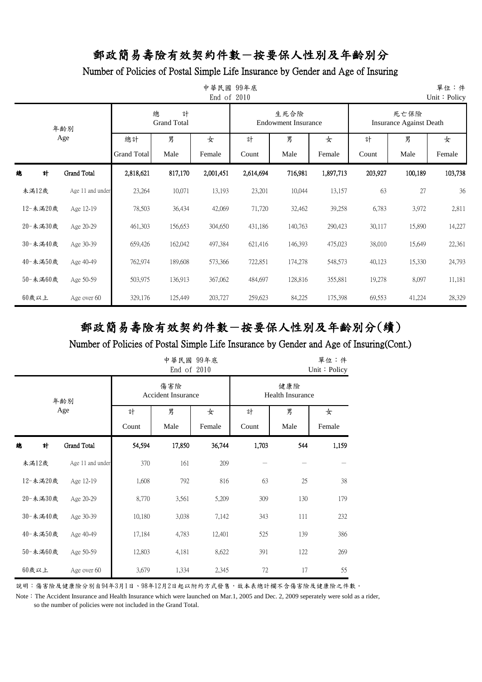### Number of Policies of Postal Simple Life Insurance by Gender and Age of Insuring

| 單位:件<br>中華民國<br>99年底<br>End of 2010<br>Unit: Policy |                    |                    |                              |           |           |                                    |           |         |                                        |         |  |
|-----------------------------------------------------|--------------------|--------------------|------------------------------|-----------|-----------|------------------------------------|-----------|---------|----------------------------------------|---------|--|
|                                                     | 年齡別                |                    | 總<br>計<br><b>Grand Total</b> |           |           | 生死合險<br><b>Endowment Insurance</b> |           |         | 死亡保險<br><b>Insurance Against Death</b> |         |  |
|                                                     | Age                | 總計                 | 男                            | 女         | 計         | 男                                  | 女         | 計       | 男                                      | 女       |  |
|                                                     |                    | <b>Grand Total</b> | Male                         | Female    | Count     | Male                               | Female    | Count   | Male                                   | Female  |  |
| 總<br>計                                              | <b>Grand Total</b> | 2,818,621          | 817,170                      | 2,001,451 | 2,614,694 | 716,981                            | 1,897,713 | 203,927 | 100,189                                | 103,738 |  |
| 未滿12歲                                               | Age 11 and under   | 23,264             | 10,071                       | 13,193    | 23,201    | 10,044                             | 13,157    | 63      | 27                                     | 36      |  |
| 12-未滿20歲                                            | Age 12-19          | 78,503             | 36,434                       | 42,069    | 71,720    | 32,462                             | 39,258    | 6,783   | 3,972                                  | 2,811   |  |
| 20-未滿30歲                                            | Age 20-29          | 461,303            | 156,653                      | 304,650   | 431,186   | 140,763                            | 290,423   | 30,117  | 15,890                                 | 14,227  |  |
| 30-未滿40歲                                            | Age 30-39          | 659,426            | 162,042                      | 497,384   | 621,416   | 146,393                            | 475,023   | 38,010  | 15,649                                 | 22,361  |  |
| 40-未滿50歲                                            | Age 40-49          | 762,974            | 189,608                      | 573,366   | 722,851   | 174,278                            | 548,573   | 40,123  | 15,330                                 | 24,793  |  |
| 50-未滿60歲                                            | Age 50-59          | 503,975            | 136,913                      | 367,062   | 484,697   | 128,816                            | 355,881   | 19,278  | 8,097                                  | 11,181  |  |
| 60歲以上                                               | Age over 60        | 329,176            | 125,449                      | 203,727   | 259,623   | 84,225                             | 175,398   | 69,553  | 41,224                                 | 28,329  |  |

# 郵政簡易壽險有效契約件數-按要保人性別及年齡別分(續)

### Number of Policies of Postal Simple Life Insurance by Gender and Age of Insuring(Cont.)

|   |          |                  |        | 中華民國 99年底<br>End of 2010         | 單位:件<br>Unit: Policy |                                |      |        |  |
|---|----------|------------------|--------|----------------------------------|----------------------|--------------------------------|------|--------|--|
|   |          | 年齢別              |        | 傷害險<br><b>Accident Insurance</b> |                      | 健康險<br><b>Health Insurance</b> |      |        |  |
|   |          | Age              | 計      | 男                                | 女                    | 計                              | 男    | 女      |  |
|   |          |                  | Count  | Male                             | Female               | Count                          | Male | Female |  |
| 總 | 計        | Grand Total      | 54,594 | 17,850                           | 36,744               | 1,703                          | 544  | 1,159  |  |
|   | 未滿12歲    | Age 11 and under | 370    | 161                              | 209                  |                                |      |        |  |
|   | 12-未滿20歲 | Age 12-19        | 1,608  | 792                              | 816                  | 63                             | 25   | 38     |  |
|   | 20-未滿30歲 | Age 20-29        | 8,770  | 3,561                            | 5,209                | 309                            | 130  | 179    |  |
|   | 30-未滿40歲 | Age 30-39        | 10,180 | 3,038                            | 7,142                | 343                            | 111  | 232    |  |
|   | 40-未滿50歲 | Age 40-49        | 17,184 | 4,783                            | 12,401               | 525                            | 139  | 386    |  |
|   | 50-未滿60歲 | Age 50-59        | 12,803 | 4,181                            | 8,622                | 391                            | 122  | 269    |  |
|   | 60歲以上    | Age over 60      | 3,679  | 1,334                            | 2,345                | 72                             | 17   | 55     |  |

說明:傷害險及健康險分別自94年3月1日、98年12月2日起以附約方式發售,故本表總計欄不含傷害險及健康險之件數。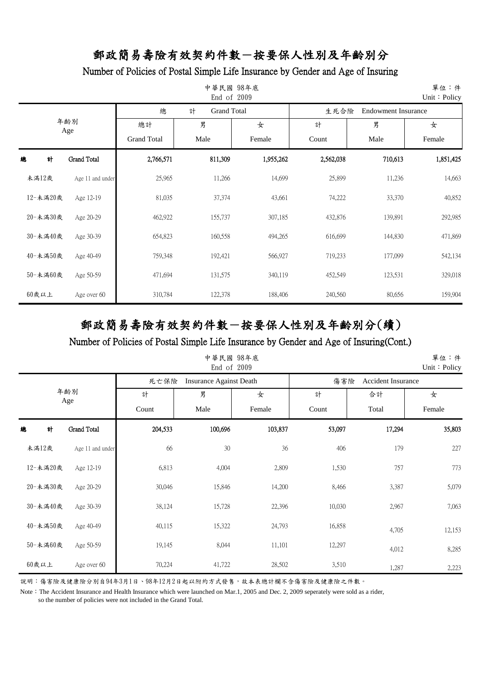### Number of Policies of Postal Simple Life Insurance by Gender and Age of Insuring

|            |                    |                    | 中華民國 98年底<br>End of 2009 |           |           |                            | 單位:件<br>Unit: Policy |
|------------|--------------------|--------------------|--------------------------|-----------|-----------|----------------------------|----------------------|
|            |                    | 總                  | 計<br><b>Grand Total</b>  |           | 生死合險      | <b>Endowment Insurance</b> |                      |
| 年齢別<br>Age |                    | 總計                 | 男                        | 女         | 計         | 男                          | 女                    |
|            |                    | <b>Grand Total</b> | Male                     | Female    | Count     | Male                       | Female               |
| 總<br>計     | <b>Grand Total</b> | 2,766,571          | 811,309                  | 1,955,262 | 2,562,038 | 710,613                    | 1,851,425            |
| 未満12歲      | Age 11 and under   | 25,965             | 11,266                   | 14,699    | 25,899    | 11,236                     | 14,663               |
| 12-未滿20歲   | Age 12-19          | 81,035             | 37,374                   | 43,661    | 74,222    | 33,370                     | 40,852               |
| 20-未満30歲   | Age 20-29          | 462,922            | 155,737                  | 307,185   | 432,876   | 139,891                    | 292,985              |
| 30-未滿40歲   | Age 30-39          | 654,823            | 160,558                  | 494,265   | 616,699   | 144,830                    | 471,869              |
| 40-未滿50歲   | Age 40-49          | 759,348            | 192,421                  | 566,927   | 719,233   | 177,099                    | 542,134              |
| 50-未滿60歲   | Age 50-59          | 471,694            | 131,575                  | 340,119   | 452,549   | 123,531                    | 329,018              |
| $60$ 歲以上   | Age over 60        | 310,784            | 122,378                  | 188,406   | 240,560   | 80,656                     | 159,904              |

# 郵政簡易壽險有效契約件數-按要保人性別及年齡別分(續)

Number of Policies of Postal Simple Life Insurance by Gender and Age of Insuring(Cont.)

|            |                  |         | 中華民國 98年底<br>End of 2009       |         |                                  |        | 單位:件<br>Unit: Policy |  |
|------------|------------------|---------|--------------------------------|---------|----------------------------------|--------|----------------------|--|
|            |                  | 死亡保險    | <b>Insurance Against Death</b> |         | 傷害險<br><b>Accident Insurance</b> |        |                      |  |
| 年齢別<br>Age |                  | 計       | 男                              | 女       | 計                                | 合計     | 女                    |  |
|            |                  | Count   | Male                           | Female  | Count                            | Total  | Female               |  |
| 總<br>計     | Grand Total      | 204,533 | 100,696                        | 103,837 | 53,097                           | 17,294 | 35,803               |  |
| 未滿12歲      | Age 11 and under | 66      | 30                             | 36      | 406                              | 179    | 227                  |  |
| 12-未滿20歲   | Age 12-19        | 6,813   | 4,004                          | 2,809   | 1,530                            | 757    | 773                  |  |
| 20-未満30歲   | Age 20-29        | 30,046  | 15,846                         | 14,200  | 8,466                            | 3,387  | 5,079                |  |
| 30-未滿40歲   | Age 30-39        | 38,124  | 15,728                         | 22,396  | 10,030                           | 2,967  | 7,063                |  |
| 40-未滿50歲   | Age 40-49        | 40,115  | 15,322                         | 24,793  | 16,858                           | 4,705  | 12,153               |  |
| 50-未滿60歲   | Age 50-59        | 19,145  | 8,044                          | 11,101  | 12,297                           | 4,012  | 8,285                |  |
| 60歲以上      | Age over 60      | 70,224  | 41,722                         | 28,502  | 3,510                            | 1,287  | 2,223                |  |

說明:傷害險及健康險分別自94年3月1日、98年12月2日起以附約方式發售,故本表總計欄不含傷害險及健康險之件數。

Note: The Accident Insurance and Health Insurance which were launched on Mar.1, 2005 and Dec. 2, 2009 seperately were sold as a rider,

so the number of policies were not included in the Grand Total.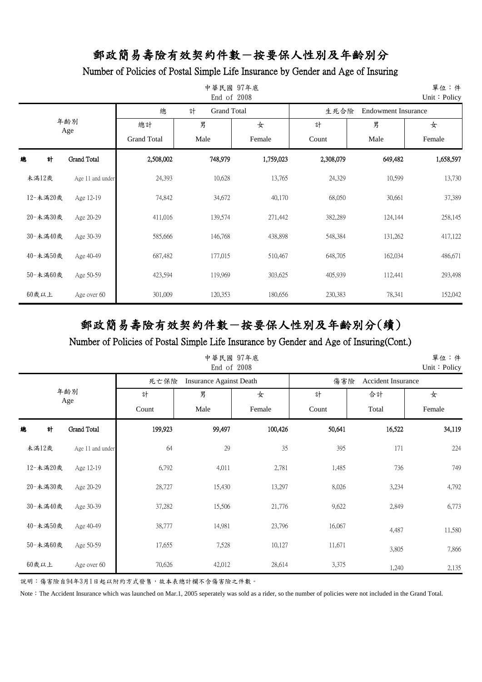### Number of Policies of Postal Simple Life Insurance by Gender and Age of Insuring

| 中華民國 97年底<br>End of 2008<br>Unit: Policy |                  |                    |                         |           |           |                            |           |  |
|------------------------------------------|------------------|--------------------|-------------------------|-----------|-----------|----------------------------|-----------|--|
|                                          |                  | 總                  | <b>Grand Total</b><br>計 |           | 生死合險      | <b>Endowment Insurance</b> |           |  |
| 年齢別<br>Age                               |                  | 總計                 | 男                       | 女         | 計         | 男                          | 女         |  |
|                                          |                  | <b>Grand Total</b> | Male                    | Female    | Count     | Male                       | Female    |  |
| 總<br>計                                   | Grand Total      | 2,508,002          | 748,979                 | 1,759,023 | 2,308,079 | 649,482                    | 1,658,597 |  |
| 未滿12歲                                    | Age 11 and under | 24,393             | 10,628                  | 13,765    | 24,329    | 10,599                     | 13,730    |  |
| 12-未滿20歲                                 | Age 12-19        | 74,842             | 34,672                  | 40,170    | 68,050    | 30,661                     | 37,389    |  |
| 20-未満30歲                                 | Age 20-29        | 411,016            | 139,574                 | 271,442   | 382,289   | 124,144                    | 258,145   |  |
| 30-未滿40歲                                 | Age 30-39        | 585,666            | 146,768                 | 438,898   | 548,384   | 131,262                    | 417,122   |  |
| 40-未滿50歲                                 | Age 40-49        | 687,482            | 177,015                 | 510,467   | 648,705   | 162,034                    | 486,671   |  |
| 50-未滿60歲                                 | Age 50-59        | 423,594            | 119,969                 | 303,625   | 405,939   | 112,441                    | 293,498   |  |
| $60$ 歲以上                                 | Age over 60      | 301,009            | 120,353                 | 180,656   | 230,383   | 78,341                     | 152,042   |  |

# 郵政簡易壽險有效契約件數-按要保人性別及年齡別分(續)

Number of Policies of Postal Simple Life Insurance by Gender and Age of Insuring(Cont.)

|            |                  |         | 中華民國 97年底<br>End of 2008       |         |                                  |        | 單位:件<br>Unit: Policy |  |
|------------|------------------|---------|--------------------------------|---------|----------------------------------|--------|----------------------|--|
|            |                  | 死亡保險    | <b>Insurance Against Death</b> |         | 傷害險<br><b>Accident Insurance</b> |        |                      |  |
| 年齢別<br>Age |                  | 計       | 男                              | 女       | 計                                | 合計     | 女                    |  |
|            |                  | Count   | Male                           | Female  | Count                            | Total  | Female               |  |
| 總<br>計     | Grand Total      | 199,923 | 99,497                         | 100,426 | 50,641                           | 16,522 | 34,119               |  |
| 未滿12歲      | Age 11 and under | 64      | 29                             | 35      | 395                              | 171    | 224                  |  |
| 12-未滿20歲   | Age 12-19        | 6,792   | 4,011                          | 2,781   | 1,485                            | 736    | 749                  |  |
| 20-未滿30歲   | Age 20-29        | 28,727  | 15,430                         | 13,297  | 8,026                            | 3,234  | 4,792                |  |
| 30-未滿40歲   | Age 30-39        | 37,282  | 15,506                         | 21,776  | 9,622                            | 2,849  | 6,773                |  |
| 40-未滿50歲   | Age 40-49        | 38,777  | 14,981                         | 23,796  | 16,067                           | 4,487  | 11,580               |  |
| 50-未滿60歲   | Age 50-59        | 17,655  | 7,528                          | 10,127  | 11,671                           | 3,805  | 7,866                |  |
| 60歲以上      | Age over 60      | 70,626  | 42,012                         | 28,614  | 3,375                            | 1,240  | 2,135                |  |

說明:傷害險自94年3月1日起以附約方式發售,故本表總計欄不含傷害險之件數。

Note: The Accident Insurance which was launched on Mar.1, 2005 seperately was sold as a rider, so the number of policies were not included in the Grand Total.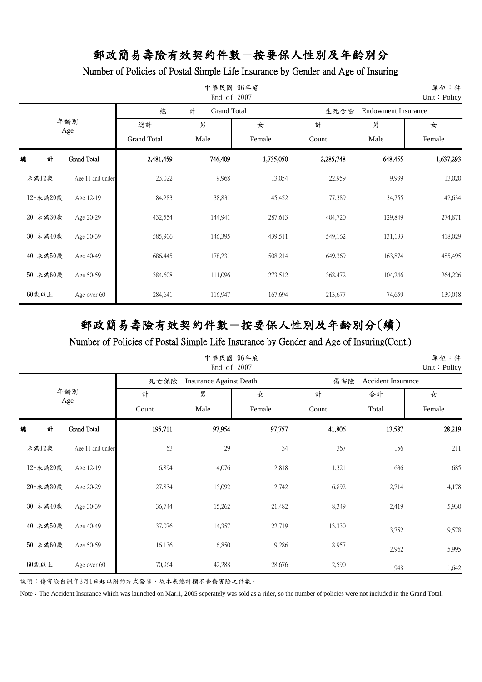### Number of Policies of Postal Simple Life Insurance by Gender and Age of Insuring

|            |                    |                    | 中華民國 96年底<br>End of 2007 |           |                                    |         | 單位:件<br>Unit: Policy |  |
|------------|--------------------|--------------------|--------------------------|-----------|------------------------------------|---------|----------------------|--|
|            |                    | 總                  | 計<br><b>Grand Total</b>  |           | 生死合險<br><b>Endowment Insurance</b> |         |                      |  |
| 年齢別<br>Age |                    | 總計                 | 男                        | 女         | 計                                  | 男       | 女                    |  |
|            |                    | <b>Grand Total</b> | Male                     | Female    | Count                              | Male    | Female               |  |
| 計<br>總     | <b>Grand Total</b> | 2,481,459          | 746,409                  | 1,735,050 | 2,285,748                          | 648,455 | 1,637,293            |  |
| 未滿12歲      | Age 11 and under   | 23,022             | 9,968                    | 13,054    | 22,959                             | 9,939   | 13,020               |  |
| 12-未滿20歲   | Age 12-19          | 84,283             | 38,831                   | 45,452    | 77,389                             | 34,755  | 42,634               |  |
| 20-未満30歲   | Age 20-29          | 432,554            | 144,941                  | 287,613   | 404,720                            | 129,849 | 274,871              |  |
| 30-未滿40歲   | Age 30-39          | 585,906            | 146,395                  | 439,511   | 549,162                            | 131,133 | 418,029              |  |
| 40-未滿50歲   | Age 40-49          | 686,445            | 178,231                  | 508,214   | 649,369                            | 163,874 | 485,495              |  |
| 50-未滿60歲   | Age 50-59          | 384,608            | 111,096                  | 273,512   | 368,472                            | 104,246 | 264,226              |  |
| 60歲以上      | Age over 60        | 284,641            | 116,947                  | 167,694   | 213,677                            | 74,659  | 139,018              |  |

# 郵政簡易壽險有效契約件數-按要保人性別及年齡別分(續)

Number of Policies of Postal Simple Life Insurance by Gender and Age of Insuring(Cont.)

|            |                  |         | 中華民國 96年底<br>End of 2007       |        |                                  |        | 單位:件<br>Unit: Policy |  |
|------------|------------------|---------|--------------------------------|--------|----------------------------------|--------|----------------------|--|
|            |                  | 死亡保險    | <b>Insurance Against Death</b> |        | 傷害險<br><b>Accident Insurance</b> |        |                      |  |
| 年齢別<br>Age |                  | 計       | 男                              | 女      | 計                                | 合計     | 女                    |  |
|            |                  | Count   | Male                           | Female | Count                            | Total  | Female               |  |
| 總<br>計     | Grand Total      | 195,711 | 97,954                         | 97,757 | 41,806                           | 13,587 | 28,219               |  |
| 未滿12歲      | Age 11 and under | 63      | 29                             | 34     | 367                              | 156    | 211                  |  |
| 12-未滿20歲   | Age 12-19        | 6,894   | 4,076                          | 2,818  | 1,321                            | 636    | 685                  |  |
| 20-未滿30歲   | Age 20-29        | 27,834  | 15,092                         | 12,742 | 6,892                            | 2,714  | 4,178                |  |
| 30-未滿40歲   | Age 30-39        | 36,744  | 15,262                         | 21,482 | 8,349                            | 2,419  | 5,930                |  |
| 40-未滿50歲   | Age 40-49        | 37,076  | 14,357                         | 22,719 | 13,330                           | 3,752  | 9,578                |  |
| 50-未滿60歲   | Age 50-59        | 16,136  | 6,850                          | 9,286  | 8,957                            | 2,962  | 5,995                |  |
| $60$ 歲以上   | Age over 60      | 70,964  | 42,288                         | 28,676 | 2,590                            | 948    | 1,642                |  |

說明:傷害險自94年3月1日起以附約方式發售,故本表總計欄不含傷害險之件數。

Note: The Accident Insurance which was launched on Mar.1, 2005 seperately was sold as a rider, so the number of policies were not included in the Grand Total.